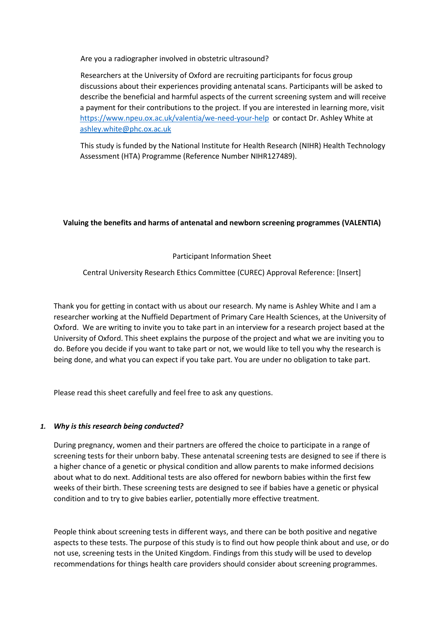Are you a radiographer involved in obstetric ultrasound?

Researchers at the University of Oxford are recruiting participants for focus group discussions about their experiences providing antenatal scans. Participants will be asked to describe the beneficial and harmful aspects of the current screening system and will receive a payment for their contributions to the project. If you are interested in learning more, visit <https://www.npeu.ox.ac.uk/valentia/we-need-your-help>or contact Dr. Ashley White at [ashley.white@phc.ox.ac.uk](mailto:ashley.white@phc.ox.ac.uk)

This study is funded by the National Institute for Health Research (NIHR) Health Technology Assessment (HTA) Programme (Reference Number NIHR127489).

# **Valuing the benefits and harms of antenatal and newborn screening programmes (VALENTIA)**

Participant Information Sheet

Central University Research Ethics Committee (CUREC) Approval Reference: [Insert]

Thank you for getting in contact with us about our research. My name is Ashley White and I am a researcher working at the Nuffield Department of Primary Care Health Sciences, at the University of Oxford. We are writing to invite you to take part in an interview for a research project based at the University of Oxford. This sheet explains the purpose of the project and what we are inviting you to do. Before you decide if you want to take part or not, we would like to tell you why the research is being done, and what you can expect if you take part. You are under no obligation to take part.

Please read this sheet carefully and feel free to ask any questions.

## *1. Why is this research being conducted?*

During pregnancy, women and their partners are offered the choice to participate in a range of screening tests for their unborn baby. These antenatal screening tests are designed to see if there is a higher chance of a genetic or physical condition and allow parents to make informed decisions about what to do next. Additional tests are also offered for newborn babies within the first few weeks of their birth. These screening tests are designed to see if babies have a genetic or physical condition and to try to give babies earlier, potentially more effective treatment.

People think about screening tests in different ways, and there can be both positive and negative aspects to these tests. The purpose of this study is to find out how people think about and use, or do not use, screening tests in the United Kingdom. Findings from this study will be used to develop recommendations for things health care providers should consider about screening programmes.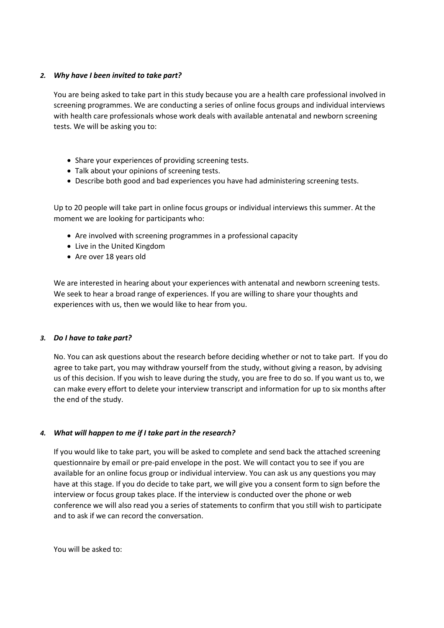## *2. Why have I been invited to take part?*

You are being asked to take part in this study because you are a health care professional involved in screening programmes. We are conducting a series of online focus groups and individual interviews with health care professionals whose work deals with available antenatal and newborn screening tests. We will be asking you to:

- Share your experiences of providing screening tests.
- Talk about your opinions of screening tests.
- Describe both good and bad experiences you have had administering screening tests.

Up to 20 people will take part in online focus groups or individual interviews this summer. At the moment we are looking for participants who:

- Are involved with screening programmes in a professional capacity
- Live in the United Kingdom
- Are over 18 years old

We are interested in hearing about your experiences with antenatal and newborn screening tests. We seek to hear a broad range of experiences. If you are willing to share your thoughts and experiences with us, then we would like to hear from you.

## *3. Do I have to take part?*

No. You can ask questions about the research before deciding whether or not to take part. If you do agree to take part, you may withdraw yourself from the study, without giving a reason, by advising us of this decision. If you wish to leave during the study, you are free to do so. If you want us to, we can make every effort to delete your interview transcript and information for up to six months after the end of the study.

## *4. What will happen to me if I take part in the research?*

If you would like to take part, you will be asked to complete and send back the attached screening questionnaire by email or pre-paid envelope in the post. We will contact you to see if you are available for an online focus group or individual interview. You can ask us any questions you may have at this stage. If you do decide to take part, we will give you a consent form to sign before the interview or focus group takes place. If the interview is conducted over the phone or web conference we will also read you a series of statements to confirm that you still wish to participate and to ask if we can record the conversation.

You will be asked to: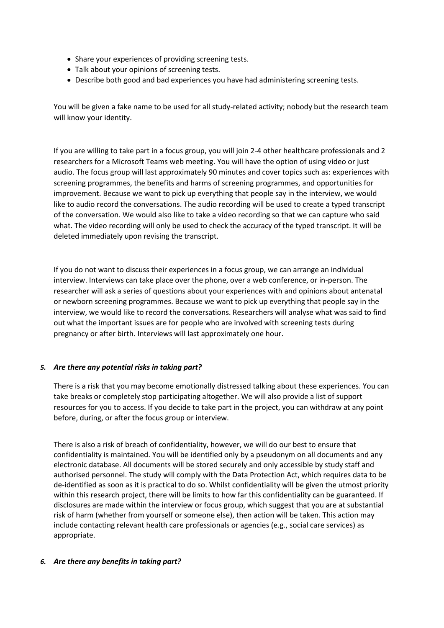- Share your experiences of providing screening tests.
- Talk about your opinions of screening tests.
- Describe both good and bad experiences you have had administering screening tests.

You will be given a fake name to be used for all study-related activity; nobody but the research team will know your identity.

If you are willing to take part in a focus group, you will join 2-4 other healthcare professionals and 2 researchers for a Microsoft Teams web meeting. You will have the option of using video or just audio. The focus group will last approximately 90 minutes and cover topics such as: experiences with screening programmes, the benefits and harms of screening programmes, and opportunities for improvement. Because we want to pick up everything that people say in the interview, we would like to audio record the conversations. The audio recording will be used to create a typed transcript of the conversation. We would also like to take a video recording so that we can capture who said what. The video recording will only be used to check the accuracy of the typed transcript. It will be deleted immediately upon revising the transcript.

If you do not want to discuss their experiences in a focus group, we can arrange an individual interview. Interviews can take place over the phone, over a web conference, or in-person. The researcher will ask a series of questions about your experiences with and opinions about antenatal or newborn screening programmes. Because we want to pick up everything that people say in the interview, we would like to record the conversations. Researchers will analyse what was said to find out what the important issues are for people who are involved with screening tests during pregnancy or after birth. Interviews will last approximately one hour.

## *5. Are there any potential risks in taking part?*

There is a risk that you may become emotionally distressed talking about these experiences. You can take breaks or completely stop participating altogether. We will also provide a list of support resources for you to access. If you decide to take part in the project, you can withdraw at any point before, during, or after the focus group or interview.

There is also a risk of breach of confidentiality, however, we will do our best to ensure that confidentiality is maintained. You will be identified only by a pseudonym on all documents and any electronic database. All documents will be stored securely and only accessible by study staff and authorised personnel. The study will comply with the Data Protection Act, which requires data to be de-identified as soon as it is practical to do so. Whilst confidentiality will be given the utmost priority within this research project, there will be limits to how far this confidentiality can be guaranteed. If disclosures are made within the interview or focus group, which suggest that you are at substantial risk of harm (whether from yourself or someone else), then action will be taken. This action may include contacting relevant health care professionals or agencies (e.g., social care services) as appropriate.

## *6. Are there any benefits in taking part?*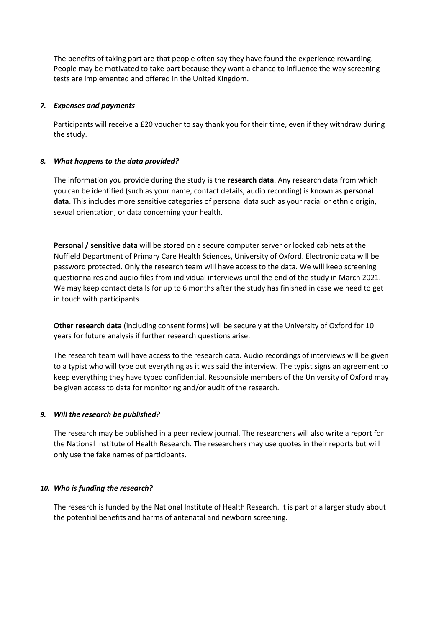The benefits of taking part are that people often say they have found the experience rewarding. People may be motivated to take part because they want a chance to influence the way screening tests are implemented and offered in the United Kingdom.

# *7. Expenses and payments*

Participants will receive a £20 voucher to say thank you for their time, even if they withdraw during the study.

# *8. What happens to the data provided?*

The information you provide during the study is the **research data**. Any research data from which you can be identified (such as your name, contact details, audio recording) is known as **personal data**. This includes more sensitive categories of personal data such as your racial or ethnic origin, sexual orientation, or data concerning your health.

**Personal / sensitive data** will be stored on a secure computer server or locked cabinets at the Nuffield Department of Primary Care Health Sciences, University of Oxford. Electronic data will be password protected. Only the research team will have access to the data. We will keep screening questionnaires and audio files from individual interviews until the end of the study in March 2021. We may keep contact details for up to 6 months after the study has finished in case we need to get in touch with participants.

**Other research data** (including consent forms) will be securely at the University of Oxford for 10 years for future analysis if further research questions arise.

The research team will have access to the research data. Audio recordings of interviews will be given to a typist who will type out everything as it was said the interview. The typist signs an agreement to keep everything they have typed confidential. Responsible members of the University of Oxford may be given access to data for monitoring and/or audit of the research.

## *9. Will the research be published?*

The research may be published in a peer review journal. The researchers will also write a report for the National Institute of Health Research. The researchers may use quotes in their reports but will only use the fake names of participants.

## *10. Who is funding the research?*

The research is funded by the National Institute of Health Research. It is part of a larger study about the potential benefits and harms of antenatal and newborn screening.